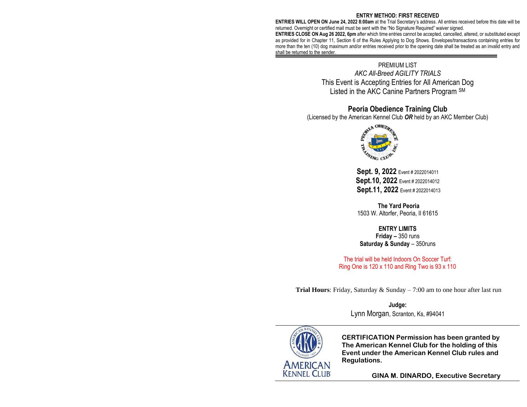### **ENTRY METHOD: FIRST RECEIVED**

**ENTRIES WILL OPEN ON June 24, 2022 8:00am** at the Trial Secretary's address. All entries received before this date will be returned. Overnight or certified mail must be sent with the "No Signature Required" waiver signed.

**ENTRIES CLOSE ON Aug 26 2022, 6pm** after which time entries cannot be accepted, cancelled, altered, or substituted except as provided for in Chapter 11, Section 6 of the Rules Applying to Dog Shows. Envelopes/transactions containing entries for more than the ten (10) dog maximum and/or entries received prior to the opening date shall be treated as an invalid entry and shall be returned to the sender.

# PREMIUM LIST

*AKC All-Breed AGILITY TRIALS* This Event is Accepting Entries for All American Dog Listed in the AKC Canine Partners Program SM

# **Peoria Obedience Training Club**

(Licensed by the American Kennel Club *OR* held by an AKC Member Club)



**Sept. 9, 2022** Event # 2022014011 **Sept.10, 2022** Event # 2022014012 **Sept.11, 2022** Event # 2022014013

**The Yard Peoria** 1503 W. Altorfer, Peoria, Il 61615

# **ENTRY LIMITS**

**Friday –** 350 runs **Saturday & Sunday** – 350runs

The trial will be held Indoors On Soccer Turf: Ring One is 120 x 110 and Ring Two is 93 x 110

**Trial Hours**: Friday, Saturday & Sunday – 7:00 am to one hour after last run

**Judge:** Lynn Morgan, Scranton, Ks, #94041



**CERTIFICATION Permission has been granted by The American Kennel Club for the holding of this Event under the American Kennel Club rules and Regulations.**

**GINA M. DINARDO, Executive Secretary**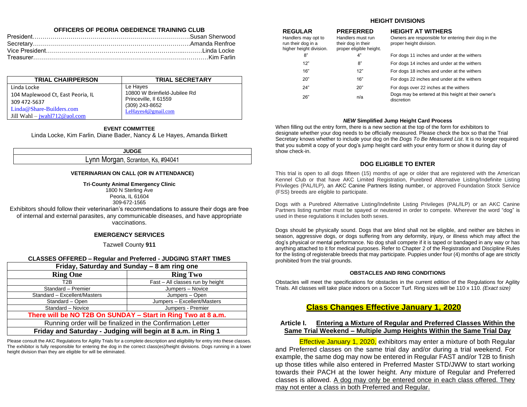# **OFFICERS OF PEORIA OBEDIENCE TRAINING CLUB**

| <b>TRIAL CHAIRPERSON</b>          | <b>TRIAL SECRETARY</b>       |
|-----------------------------------|------------------------------|
| Linda Locke                       | Le Hayes                     |
| 104 Maplewood Ct, East Peoria, IL | 10800 W Brimfield-Jubilee Rd |
| 309 472-5637                      | Princeville, Il 61559        |
| Linda@Share-Builders.com          | (309) 243-8652               |
| Jill Wahl $-$ jwahl712@aol.com    | LeHayes4@gmail.com           |

#### **EVENT COMMITTEE**

Linda Locke, Kim Farlin*,* Diane Bader, Nancy & Le Hayes, Amanda Birkett

**JUDGE**

# Lynn Morgan, Scranton, Ks, #94041

#### **VETERINARIAN ON CALL (OR IN ATTENDANCE)**

**Tri**-**County Animal Emergency Clinic**

1800 N Sterling Ave Peoria, IL 61604 309-672-1565

Exhibitors should follow their veterinarian's recommendations to assure their dogs are free of internal and external parasites, any communicable diseases, and have appropriate vaccinations.

### **EMERGENCY SERVICES**

Tazwell County **911**

# **CLASSES OFFERED – Regular and Preferred - JUDGING START TIMES**

| Friday, Saturday and Sunday - 8 am ring one                  |                                  |  |  |  |
|--------------------------------------------------------------|----------------------------------|--|--|--|
| <b>Ring One</b>                                              | <b>Ring Two</b>                  |  |  |  |
| T <sub>2</sub> B                                             | Fast - All classes run by height |  |  |  |
| Standard - Premier                                           | Jumpers - Novice                 |  |  |  |
| Jumpers - Open<br>Standard - Excellent/Masters               |                                  |  |  |  |
| Jumpers - Excellent/Masters<br>Standard - Open               |                                  |  |  |  |
| Standard - Novice<br>Jumpers - Premier                       |                                  |  |  |  |
| There will be NO T2B On SUNDAY - Start in Ring Two at 8 a.m. |                                  |  |  |  |
| Running order will be finalized in the Confirmation Letter   |                                  |  |  |  |
| Friday and Saturday - Judging will begin at 8 a.m. in Ring 1 |                                  |  |  |  |

Please consult the AKC Regulations for Agility Trials for a complete description and eligibility for entry into these classes. The exhibitor is fully responsible for entering the dog in the correct class(es)/height divisions. Dogs running in a lower height division than they are eligible for will be eliminated.

# **HEIGHT DIVISIONS**

Handlers must run their dog in their

Handlers may opt to run their dog in a

### **REGULAR PREFERRED HEIGHT AT WITHERS**

Owners are responsible for entering their dog in the proper height division.

| higher height division. | proper eligible height. |                                                                   |
|-------------------------|-------------------------|-------------------------------------------------------------------|
| 8"                      | 4"                      | For dogs 11 inches and under at the withers                       |
| 12"                     | 8"                      | For dogs 14 inches and under at the withers                       |
| 16"                     | 12"                     | For dogs 18 inches and under at the withers                       |
| 20"                     | 16"                     | For dogs 22 inches and under at the withers                       |
| 24"                     | 20"                     | For dogs over 22 inches at the withers                            |
| 26"                     | n/a                     | Dogs may be entered at this height at their owner's<br>discretion |
|                         |                         |                                                                   |

### *NEW* **Simplified Jump Height Card Process**

When filling out the entry form, there is a new section at the top of the form for exhibitors to designate whether your dog needs to be officially measured. Please check the box so that the Trial Secretary knows whether to include your dog on the *Dogs To Be Measured List*. It is no longer required that you submit a copy of your dog's jump height card with your entry form or show it during day of show check-in.

# **DOG ELIGIBLE TO ENTER**

This trial is open to all dogs fifteen (15) months of age or older that are registered with the American Kennel Club or that have AKC Limited Registration, Purebred Alternative Listing/Indefinite Listing Privileges (PAL/ILP), an AKC Canine Partners listing number, or approved Foundation Stock Service (FSS) breeds are eligible to participate.

Dogs with a Purebred Alternative Listing/Indefinite Listing Privileges (PAL/ILP) or an AKC Canine Partners listing number must be spayed or neutered in order to compete. Wherever the word "dog" is used in these regulations it includes both sexes.

Dogs should be physically sound. Dogs that are blind shall not be eligible, and neither are bitches in season, aggressive dogs, or dogs suffering from any deformity, injury, or illness which may affect the dog's physical or mental performance. No dog shall compete if it is taped or bandaged in any way or has anything attached to it for medical purposes. Refer to Chapter 2 of the Registration and Discipline Rules for the listing of registerable breeds that may participate. Puppies under four (4) months of age are strictly prohibited from the trial grounds.

#### **OBSTACLES AND RING CONDITIONS**

Obstacles will meet the specifications for obstacles in the current edition of the Regulations for Agility Trials. All classes will take place indoors on a Soccer Turf. Ring sizes will be 110 x 110. *(Exact size)*

# **Class Changes Effective January 1, 2020**

# **Article I. Entering a Mixture of Regular and Preferred Classes Within the Same Trial Weekend – Multiple Jump Heights Within the Same Trial Day**

Effective January 1, 2020, exhibitors may enter a mixture of both Regular and Preferred classes on the same trial day and/or during a trial weekend. For example, the same dog may now be entered in Regular FAST and/or T2B to finish up those titles while also entered in Preferred Master STD/JWW to start working towards their PACH at the lower height. Any mixture of Regular and Preferred classes is allowed. A dog may only be entered once in each class offered. They may not enter a class in both Preferred and Regular.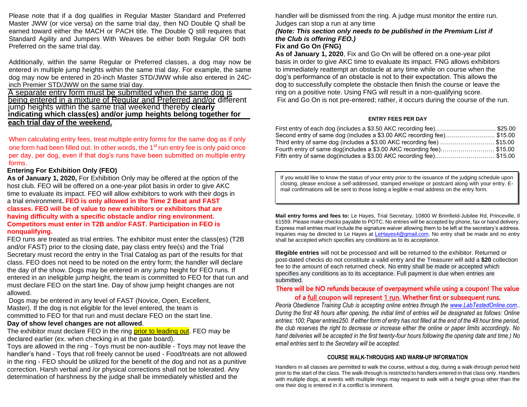Please note that if a dog qualifies in Regular Master Standard and Preferred Master JWW (or vice versa) on the same trial day, then NO Double Q shall be earned toward either the MACH or PACH title. The Double Q still requires that Standard Agility and Jumpers With Weaves be either both Regular OR both Preferred on the same trial day.

Additionally, within the same Regular or Preferred classes, a dog may now be entered in multiple jump heights within the same trial day. For example, the same dog may now be entered in 20-inch Master STD/JWW while also entered in 24Cinch Premier STD/JWW on the same trial day.

A separate entry form must be submitted when the same dog is being entered in a mixture of Regular and Preferred and/or different jump heights within the same trial weekend thereby **clearly indicating which class(es) and/or jump heights belong together for each trial day of the weekend.**

When calculating entry fees, treat multiple entry forms for the same dog as if only one form had been filled out. In other words, the  $1<sup>st</sup>$  run entry fee is only paid once per day, per dog, even if that dog's runs have been submitted on multiple entry forms.

### **Entering For Exhibition Only (FEO)**

**As of January 1, 2020,** For Exhibition Only may be offered at the option of the host club. FEO will be offered on a one-year pilot basis in order to give AKC time to evaluate its impact. FEO will allow exhibitors to work with their dogs in a trial environment**. FEO is only allowed in the Time 2 Beat and FAST classes. FEO will be of value to new exhibitors or exhibitors that are having difficulty with a specific obstacle and/or ring environment. Competitors must enter in T2B and/or FAST. Participation in FEO is nonqualifying.**

FEO runs are treated as trial entries. The exhibitor must enter the class(es) (T2B and/or FAST) prior to the closing date, pay class entry fee(s) and the Trial Secretary must record the entry in the Trial Catalog as part of the results for that class. FEO does not need to be noted on the entry form; the handler will declare the day of the show. Dogs may be entered in any jump height for FEO runs. If entered in an ineligible jump height, the team is committed to FEO for that run and must declare FEO on the start line. Day of show jump height changes are not allowed.

Dogs may be entered in any level of FAST (Novice, Open, Excellent, Master). If the dog is not eligible for the level entered, the team is committed to FEO for that run and must declare FEO on the start line.

### **Day of show level changes are not allowed**.

The exhibitor must declare FEO in the ring prior to leading out. FEO may be declared earlier (ex. when checking in at the gate board).

Toys are allowed in the ring - Toys must be non-audible - Toys may not leave the handler's hand - Toys that roll freely cannot be used - Food/treats are not allowed in the ring - FEO should be utilized for the benefit of the dog and not as a punitive correction. Harsh verbal and /or physical corrections shall not be tolerated. Any determination of harshness by the judge shall be immediately whistled and the

handler will be dismissed from the ring. A judge must monitor the entire run. Judges can stop a run at any time

# *(Note: This section only needs to be published in the Premium List if the Club is offering FEO.)*

# **Fix and Go On (FNG)**

**As of January 1, 2020**, Fix and Go On will be offered on a one-year pilot basis in order to give AKC time to evaluate its impact. FNG allows exhibitors to immediately reattempt an obstacle at any time while on course when the dog's performance of an obstacle is not to their expectation. This allows the dog to successfully complete the obstacle then finish the course or leave the ring on a positive note. Using FNG will result in a non-qualifying score. Fix and Go On is not pre-entered; rather, it occurs during the course of the run.

### **ENTRY FEES PER DAY**

| First entry of each dog (includes a \$3.50 AKC recording fee)\$25.00           |  |
|--------------------------------------------------------------------------------|--|
| Second entry of same dog (includes a \$3.00 AKC recording fee)\$15.00          |  |
| Third entry of same dog (includes a \$3.00 AKC recording fee) \$15.00          |  |
| Fourth entry of same dog(includes a \$3.00 AKC recording fee)\$15.00           |  |
| Fifth entry of same dog(includes a \$3.00 AKC recording fee)………………………… \$15.00 |  |

If you would like to know the status of your entry prior to the issuance of the judging schedule upon closing, please enclose a self-addressed, stamped envelope or postcard along with your entry. Email confirmations will be sent to those listing a legible e-mail address on the entry form.

**Mail entry forms and fees to:** Le Hayes, Trial Secretary, 10800 W Brimfield-Jubilee Rd, Princeville, Il 61559. Please make checks payable to POTC. No entries will be accepted by phone, fax or hand delivery. Express mail entries must include the signature waiver allowing them to be left at the secretary's address. Inquiries may be directed to Le Hayes at [LeHayes4@gmail.com.](mailto:LeHayes4@gmail.com) No entry shall be made and no entry shall be accepted which specifies any conditions as to its acceptance.

**Illegible entries** will not be processed and will be returned to the exhibitor. Returned or post-dated checks do not constitute a valid entry and the Treasurer will add a **\$20** collection fee to the amount of each returned check. No entry shall be made or accepted which specifies any conditions as to its acceptance. Full payment is due when entries are submitted.

# There will be NO refunds because of overpayment while using a coupon! The value of a <u>full</u> coupon will represent 1 run. Whether first or subsequent runs.

*Peoria Obedience Training Club is accepting online entries through the [www.LabTestedOnline.com.](http://www.labtestedonline.com/). During the first 48 hours after opening, the initial limit of entries will be designated as follows: Online entries: 100; Paper entries250. If either form of entry has not filled at the end of the 48 hour time period, the club reserves the right to decrease or increase either the online or paper limits accordingly. No hand deliveries will be accepted in the first twenty-four hours following the opening date and time.) No email entries sent to the Secretary will be accepted.*

#### **COURSE WALK-THROUGHS AND WARM-UP INFORMATION**

Handlers in all classes are permitted to walk the course, without a dog, during a walk-through period held prior to the start of the class. The walk-through is restricted to handlers entered in that class only. Handlers with multiple dogs, at events with multiple rings may request to walk with a height group other than the one their dog is entered in if a conflict is imminent.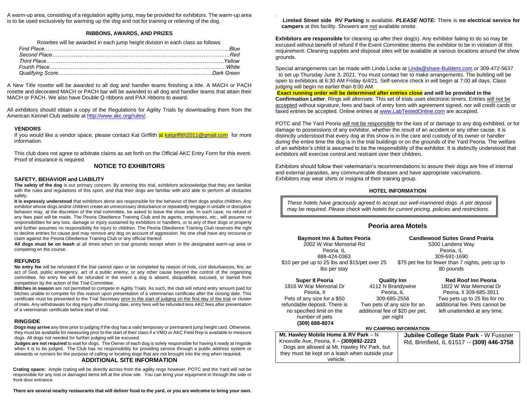A warm-up area, consisting of a regulation agility jump, may be provided for exhibitors. The warm-up area is to be used exclusively for warming up the dog and not for training or relieving of the dog.

#### **RIBBONS, AWARDS, AND PRIZES**

Rosettes will be awarded in each jump height division in each class as follows:

A New Title rosette will be awarded to all dog and handler teams finishing a title. A MACH or PACH rosette and decorated MACH or PACH bar will be awarded to all dog and handler teams that attain their MACH or PACH. We also have Double Q ribbons and PAX ribbons to award.

All exhibitors should obtain a copy of the Regulations for Agility Trials by downloading them from the American Kennel Club website at [http://www.akc.org/rules/.](http://www.akc.org/rules/)

#### **VENDORS**

If you would like a vendor space, please contact Kat Griffith a[t katgriffith2011@gmail.com](mailto:katgriffith2011@gmail.com) for more information.

This club does not agree to arbitrate claims as set forth on the Official AKC Entry Form for this event. Proof of insurance is required.

#### **NOTICE TO EXHIBITORS**

#### **SAFETY, BEHAVIOR and LIABILITY**

**The safety of the dog** is our primary concern. By entering this trial, exhibitors acknowledge that they are familiar with the rules and regulations of this sport, and that their dogs are familiar with and able to perform all obstacles safely.

**It is expressly understood** that exhibitors alone are responsible for the behavior of their dogs and/or children. Any exhibitor whose dogs and/or children create an unnecessary disturbance or repeatedly engage in unsafe or disruptive behavior may, at the discretion of the trial committee, be asked to leave the show site. In such case, no refund of any fees paid will be made. The Peoria Obedience Training Club and its agents, employees, etc., will assume no responsibilities for any loss, damage or injury sustained by exhibitors or handlers, or to any of their dogs or property and further assumes no responsibility for injury to children. The Peoria Obedience Training Club reserves the right to decline entries for cause and may remove any dog on account of aggression. No one shall have any recourse or claim against the Peoria Obedience Training Club or any official thereof.

**All dogs must be on leash** at all times when on trial grounds except when in the designated warm-up area or competing on the course.

#### **REFUNDS**

**No entry fee** will be refunded if the trial cannot open or be completed by reason of riots, civil disturbances, fire, an act of God, public emergency, act of a public enemy, or any other cause beyond the control of the organizing committee. No entry fee will be refunded in the event a dog is absent, disqualified, excused, or barred from competition by the action of the Trial Committee.

**Bitches in season** are not permitted to compete in Agility Trials. As such, the club will refund entry amount paid for bitches unable to compete for this reason upon presentation of a veterinarian certificate after the closing date. This certificate must be presented to the Trial Secretary prior to the start of judging on the first day of the trial or cluster of trials. Any withdrawals for dog injury after closing date, entry fees will be refunded less AKC fees after presentation of a veterinarian certificate before start of trial.

#### **RINGSIDE**

**Dogs may arrive** any time prior to judging if the dog has a valid temporary or permanent jump height card. Otherwise, they must be available for measuring prior to the start of their class if a VMO or AKC Field Rep is available to measure dogs. All dogs not needed for further judging will be excused.

**Judges are not required** to wait for dogs. The Owner of each dog is solely responsible for having it ready at ringside when it is to be judged. The Club has no responsibility for providing service through a public address system or stewards or runners for the purpose of calling or locating dogs that are not brought into the ring when required. **ADDITIONAL SITE INFORMATION**

**Crating space:** Ample crating will be directly across from the agility rings however, POTC and the Yard will not be responsible for any lost or damaged items left at the show site. You can bring your equipment in through the side or front door entrance.

**There are several nearby restaurants that will deliver food to the yard, or you are welcome to bring your own.**

.**Limited Street side RV Parking** is available. *PLEASE NOTE:* There is **no electrical service for campers** at this facility. Showers are not available onsite.

.

**Exhibitors are responsible** for cleaning up after their dog(s). Any exhibitor failing to do so may be excused without benefit of refund if the Event Committee deems the exhibitor to be in violation of this requirement. Cleaning supplies and disposal sites will be available at various locations around the show grounds.

Special arrangements can be made with Linda Locke a[t Linda@share-Builders.com](mailto:Linda@share-Builders.com) or 309-472-5637 to set up Thursday June 3, 2021. You must contact her to make arrangements. The building will be open to exhibitors at 6:30 AM Friday 6/4/21. Self-service check in will begin at 7:00 all days. Class judging will begin no earlier than 8:00 AM.

**Exact running order will be determined after entries close and will be provided in the Confirmation Letter**. Rings will alternate. This set of trials uses electronic timers. Entries will not be accepted without signature, fees and back of entry form with agreement signed, nor will credit cards or faxed entries be accepted. Online entries a[t www.LabTestedOnline.com](http://www.labtestedonline.com/) are accepted.

POTC and The Yard Peoria will not be responsible for the loss of or damage to any dog exhibited, or for damage to possessions of any exhibitor, whether the result of an accident or any other cause. It is distinctly understood that every dog at this show is in the care and custody of its owner or handler during the entire time the dog is in the trial buildings or on the grounds of the Yard Peoria. The welfare of an exhibitor's child is assumed to be the responsibility of the exhibitor. It is distinctly understood that exhibitors will exercise control and restraint over their children.

Exhibitors should follow their veterinarian's recommendations to assure their dogs are free of internal and external parasites, any communicable diseases and have appropriate vaccinations. Exhibitors may wear shirts or insignia of their training group.

#### **HOTEL INFORMATION**

*These hotels have graciously agreed to accept our well-mannered dogs. A pet deposit may be required. Please check with hotels for current pricing, policies and restrictions.* 

### **Peoria area Motels**

| <b>Baymont Inn &amp; Suites Peoria</b><br>2002 W War Memorial Rd<br>Peoria, IL<br>888-424-0363<br>\$10 per pet up to 25 lbs and \$15/pet over 25<br>lbs per stay                                                                                                                                                                               |  | <b>Candlewood Suites Grand Prairia</b><br>5300 Landens Way<br>Peoria, IL<br>309-691-1690<br>\$75 pet fee for fewer than 7 nights, pets up to<br>80 pounds |                                                                                                                                                                                   |  |  |
|------------------------------------------------------------------------------------------------------------------------------------------------------------------------------------------------------------------------------------------------------------------------------------------------------------------------------------------------|--|-----------------------------------------------------------------------------------------------------------------------------------------------------------|-----------------------------------------------------------------------------------------------------------------------------------------------------------------------------------|--|--|
| <b>Quality Inn</b><br>Super 8 Peoria<br>1816 W War Memorial Dr<br>4112 N Brandywine<br>Peoria, IL<br>Peoria, II<br>Pets of any size for a \$50<br>309-685-2556<br>refundable deposit. There is<br>Two pets of any size for an<br>no specified limit on the<br>additional fee of \$20 per pet,<br>number of pets<br>per night<br>(309) 688-8074 |  |                                                                                                                                                           | <b>Red Roof Inn Peoria</b><br>1822 W War Memorial Dr<br>Peoria, II 309-685-3911<br>Two pets up to 25 lbs for no<br>additional fee. Pets cannot be<br>left unattended at any time. |  |  |
|                                                                                                                                                                                                                                                                                                                                                |  | <b>RV CAMPING INFORMATION</b>                                                                                                                             |                                                                                                                                                                                   |  |  |
| Mt. Hawley Mobile Home & RV Park $- N$                                                                                                                                                                                                                                                                                                         |  | <b>Jubilee College State Park - W Fussner</b>                                                                                                             |                                                                                                                                                                                   |  |  |
| Knoxville Ave, Peoria, II - (309)692-2223<br>Dogs are allowed at Mt. Hawley RV Park, but<br>they must be kept on a leash when outside your                                                                                                                                                                                                     |  |                                                                                                                                                           | Rd, Brimfield, IL 61517 -- (309) 446-3758                                                                                                                                         |  |  |

vehicle.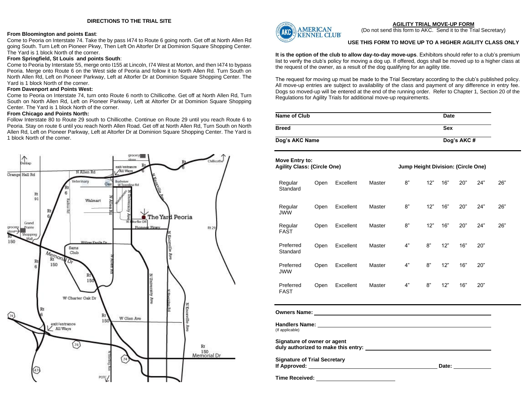#### **From Bloomington and points East**:

Come to Peoria on Interstate 74. Take the by pass I474 to Route 6 going north. Get off at North Allen Rd going South. Turn Left on Pioneer Pkwy, Then Left On Altorfer Dr at Dominion Square Shopping Center. The Yard is 1 block North of the corner.

#### **From Springfield, St Louis and points South**:

Come to Peoria by Interstate 55, merge onto I155 at Lincoln, I74 West at Morton, and then I474 to bypass Peoria. Merge onto Route 6 on the West side of Peoria and follow it to North Allen Rd. Turn South on North Allen Rd, Left on Pioneer Parkway, Left at Altorfer Dr at Dominion Square Shopping Center. The Yard is 1 block North of the corner.

#### **From Davenport and Points West:**

Come to Peoria on Interstate 74, turn onto Route 6 north to Chillicothe. Get off at North Allen Rd, Turn South on North Allen Rd, Left on Pioneer Parkway, Left at Altorfer Dr at Dominion Square Shopping Center. The Yard is 1 block North of the corner.

### **From Chicago and Points North:**

Follow Interstate 80 to Route 29 south to Chillicothe. Continue on Route 29 until you reach Route 6 to Peoria. Stay on route 6 until you reach North Allen Road. Get off at North Allen Rd, Turn South on North Allen Rd, Left on Pioneer Parkway, Left at Altorfer Dr at Dominion Square Shopping Center. The Yard is 1 block North of the corner.





**AGILITY TRIAL MOVE-UP FORM** (Do not send this form to AKC. Send it to the Trial Secretary)

#### **USE THIS FORM TO MOVE UP TO A HIGHER AGILITY CLASS ONLY**

**It is the option of the club to allow day-to-day move-ups**. Exhibitors should refer to a club's premium list to verify the club's policy for moving a dog up. If offered, dogs shall be moved up to a higher class at the request of the owner, as a result of the dog qualifying for an agility title.

The request for moving up must be made to the Trial Secretary according to the club's published policy. All move-up entries are subject to availability of the class and payment of any difference in entry fee. Dogs so moved-up will be entered at the end of the running order. Refer to Chapter 1, Section 20 of the Regulations for Agility Trials for additional move-up requirements.

| Name of Club<br>Date |            |
|----------------------|------------|
| <b>Breed</b>         | <b>Sex</b> |
| Dog's AKC Name       | Dog's AKC# |

| Move Entry to:<br><b>Agility Class: (Circle One)</b>               |      |           |        | Jump Height Division: (Circle One) |     |       |     |     |     |
|--------------------------------------------------------------------|------|-----------|--------|------------------------------------|-----|-------|-----|-----|-----|
| Regular<br>Standard                                                | Open | Excellent | Master | 8"                                 | 12" | 16"   | 20" | 24" | 26" |
| Regular<br><b>JWW</b>                                              | Open | Excellent | Master | 8"                                 | 12" | 16"   | 20" | 24" | 26" |
| Regular<br><b>FAST</b>                                             | Open | Excellent | Master | 8"                                 | 12" | 16"   | 20" | 24" | 26" |
| Preferred<br>Standard                                              | Open | Excellent | Master | 4"                                 | 8"  | 12"   | 16" | 20" |     |
| Preferred<br><b>JWW</b>                                            | Open | Excellent | Master | 4"                                 | 8"  | 12"   | 16" | 20" |     |
| Preferred<br><b>FAST</b>                                           | Open | Excellent | Master | 4"                                 | 8"  | 12"   | 16" | 20" |     |
|                                                                    |      |           |        |                                    |     |       |     |     |     |
| (If applicable)                                                    |      |           |        |                                    |     |       |     |     |     |
| Signature of owner or agent<br>duly authorized to make this entry: |      |           |        |                                    |     |       |     |     |     |
| <b>Signature of Trial Secretary</b><br>If Approved:                |      |           |        |                                    |     | Date: |     |     |     |

**Time Received:**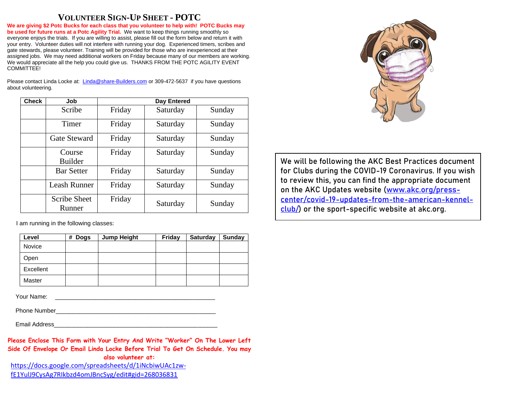# **VOLUNTEER SIGN-UP SHEET - POTC**

**We are giving \$2 Potc Bucks for each class that you volunteer to help with! POTC Bucks may be used for future runs at a Potc Agility Trial.** We want to keep things running smoothly so everyone enjoys the trials. If you are willing to assist, please fill out the form below and return it with your entry. Volunteer duties will not interfere with running your dog. Experienced timers, scribes and gate stewards, please volunteer. Training will be provided for those who are inexperienced at their assigned jobs. We may need additional workers on Friday because many of our members are working. We would appreciate all the help you could give us. THANKS FROM THE POTC AGILITY EVENT COMMITTEE!

Please contact Linda Locke at: [Linda@share-Builders.com](mailto:Linda@share-Builders.com) or 309-472-5637 if you have questions about volunteering.

| <b>Check</b> | Job                           | Day Entered |          |        |  |
|--------------|-------------------------------|-------------|----------|--------|--|
|              | Scribe                        | Friday      | Saturday | Sunday |  |
|              | Timer                         | Friday      | Saturday | Sunday |  |
|              | <b>Gate Steward</b>           | Friday      | Saturday | Sunday |  |
|              | Course<br><b>Builder</b>      | Friday      | Saturday | Sunday |  |
|              | <b>Bar Setter</b>             | Friday      | Saturday | Sunday |  |
|              | <b>Leash Runner</b>           | Friday      | Saturday | Sunday |  |
|              | <b>Scribe Sheet</b><br>Runner | Friday      | Saturday | Sunday |  |

I am running in the following classes:

| Level         | # Dogs | <b>Jump Height</b> | Friday | <b>Saturday</b> | Sunday |
|---------------|--------|--------------------|--------|-----------------|--------|
| <b>Novice</b> |        |                    |        |                 |        |
| Open          |        |                    |        |                 |        |
| Excellent     |        |                    |        |                 |        |
| Master        |        |                    |        |                 |        |

Your Name: \_\_\_\_\_\_\_\_\_\_\_\_\_\_\_\_\_\_\_\_\_\_\_\_\_\_\_\_\_\_\_\_\_\_\_\_\_\_\_\_\_\_\_\_\_\_\_\_

Phone Number

Email Address\_\_\_\_\_\_\_\_\_\_\_\_\_\_\_\_\_\_\_\_\_\_\_\_\_\_\_\_\_\_\_\_\_\_\_\_\_\_\_\_\_\_\_\_\_\_\_\_\_

**Please Enclose This Form with Your Entry And Write "Worker" On The Lower Left Side Of Envelope Or Email Linda Locke Before Trial To Get On Schedule. You may also volunteer at:** [https://docs.google.com/spreadsheets/d/1iNcbiwUAc1zw-](https://docs.google.com/spreadsheets/d/1iNcbiwUAc1zw-fE1YulJ9CysAg7RIkbzd4omJBncSyg/edit#gid=268036831)

[fE1YulJ9CysAg7RIkbzd4omJBncSyg/edit#gid=268036831](https://docs.google.com/spreadsheets/d/1iNcbiwUAc1zw-fE1YulJ9CysAg7RIkbzd4omJBncSyg/edit#gid=268036831)



**We will be following the AKC Best Practices document for Clubs during the COVID-19 Coronavirus. If you wish to review this, you can find the appropriate document on the AKC Updates website [\(www.akc.org/press](http://www.akc.org/press-center/covid-19-updates-from-the-american-kennel-club/)[center/covid-19-updates-from-the-american-kennel](http://www.akc.org/press-center/covid-19-updates-from-the-american-kennel-club/)[club/\)](http://www.akc.org/press-center/covid-19-updates-from-the-american-kennel-club/) or the sport-specific website at akc.org.**